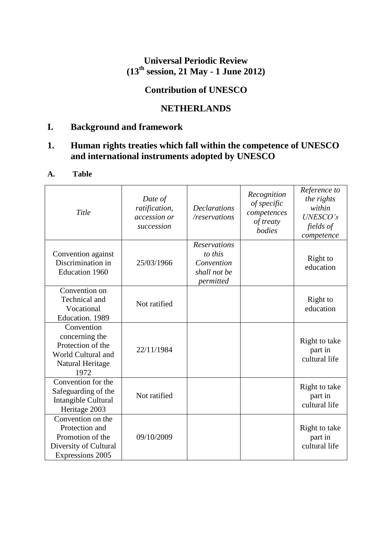## **Universal Periodic Review (13th session, 21 May - 1 June 2012)**

# **Contribution of UNESCO**

## **NETHERLANDS**

## **I. Background and framework**

## **1. Human rights treaties which fall within the competence of UNESCO and international instruments adopted by UNESCO**

### **A. Table**

| Title                                                                                                | Date of<br>ratification,<br>accession or<br>succession | <b>Declarations</b><br>/reservations                                      | Recognition<br>of specific<br>competences<br>of treaty<br>bodies | Reference to<br>the rights<br>within<br><b>UNESCO's</b><br>fields of<br>competence |
|------------------------------------------------------------------------------------------------------|--------------------------------------------------------|---------------------------------------------------------------------------|------------------------------------------------------------------|------------------------------------------------------------------------------------|
| Convention against<br>Discrimination in<br><b>Education 1960</b>                                     | 25/03/1966                                             | <b>Reservations</b><br>to this<br>Convention<br>shall not be<br>permitted |                                                                  | Right to<br>education                                                              |
| Convention on<br>Technical and<br>Vocational<br>Education. 1989                                      | Not ratified                                           |                                                                           |                                                                  | Right to<br>education                                                              |
| Convention<br>concerning the<br>Protection of the<br>World Cultural and<br>Natural Heritage<br>1972  | 22/11/1984                                             |                                                                           |                                                                  | Right to take<br>part in<br>cultural life                                          |
| Convention for the<br>Safeguarding of the<br>Intangible Cultural<br>Heritage 2003                    | Not ratified                                           |                                                                           |                                                                  | Right to take<br>part in<br>cultural life                                          |
| Convention on the<br>Protection and<br>Promotion of the<br>Diversity of Cultural<br>Expressions 2005 | 09/10/2009                                             |                                                                           |                                                                  | Right to take<br>part in<br>cultural life                                          |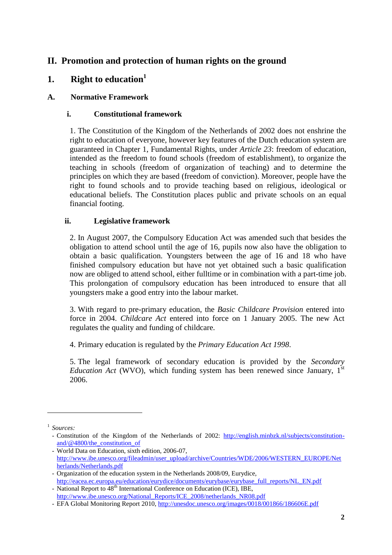## **II. Promotion and protection of human rights on the ground**

## **1. Right to education<sup>1</sup>**

### **A. Normative Framework**

### **i. Constitutional framework**

1. The Constitution of the Kingdom of the Netherlands of 2002 does not enshrine the right to education of everyone, however key features of the Dutch education system are guaranteed in Chapter 1, Fundamental Rights, under *Article 23*: freedom of education, intended as the freedom to found schools (freedom of establishment), to organize the teaching in schools (freedom of organization of teaching) and to determine the principles on which they are based (freedom of conviction). Moreover, people have the right to found schools and to provide teaching based on religious, ideological or educational beliefs. The Constitution places public and private schools on an equal financial footing.

#### **ii. Legislative framework**

2. In August 2007, the Compulsory Education Act was amended such that besides the obligation to attend school until the age of 16, pupils now also have the obligation to obtain a basic qualification. Youngsters between the age of 16 and 18 who have finished compulsory education but have not yet obtained such a basic qualification now are obliged to attend school, either fulltime or in combination with a part-time job. This prolongation of compulsory education has been introduced to ensure that all youngsters make a good entry into the labour market.

3. With regard to pre-primary education, the *Basic Childcare Provision* entered into force in 2004. *Childcare Act* entered into force on 1 January 2005. The new Act regulates the quality and funding of childcare.

4. Primary education is regulated by the *Primary Education Act 1998*.

5. The legal framework of secondary education is provided by the *Secondary Education Act* (WVO), which funding system has been renewed since January,  $1<sup>st</sup>$ 2006.

1

<sup>1</sup> *Sources:* 

<sup>-</sup> Constitution of the Kingdom of the Netherlands of 2002: [http://english.minbzk.nl/subjects/constitution](http://english.minbzk.nl/subjects/constitution-and/@4800/the_constitution_of)[and/@4800/the\\_constitution\\_of](http://english.minbzk.nl/subjects/constitution-and/@4800/the_constitution_of)

<sup>-</sup> World Data on Education, sixth edition, 2006-07, [http://www.ibe.unesco.org/fileadmin/user\\_upload/archive/Countries/WDE/2006/WESTERN\\_EUROPE/Net](http://www.ibe.unesco.org/fileadmin/user_upload/archive/Countries/WDE/2006/WESTERN_EUROPE/Netherlands/Netherlands.pdf) [herlands/Netherlands.pdf](http://www.ibe.unesco.org/fileadmin/user_upload/archive/Countries/WDE/2006/WESTERN_EUROPE/Netherlands/Netherlands.pdf)

<sup>-</sup> Organization of the education system in the Netherlands 2008/09, Eurydice, [http://eacea.ec.europa.eu/education/eurydice/documents/eurybase/eurybase\\_full\\_reports/NL\\_EN.pdf](http://eacea.ec.europa.eu/education/eurydice/documents/eurybase/eurybase_full_reports/NL_EN.pdf)

<sup>-</sup> National Report to  $\widehat{A}8^{th}$  International Conference on Education (ICE), IBE, [http://www.ibe.unesco.org/National\\_Reports/ICE\\_2008/netherlands\\_NR08.pdf](http://www.ibe.unesco.org/National_Reports/ICE_2008/netherlands_NR08.pdf)

<sup>-</sup> EFA Global Monitoring Report 2010,<http://unesdoc.unesco.org/images/0018/001866/186606E.pdf>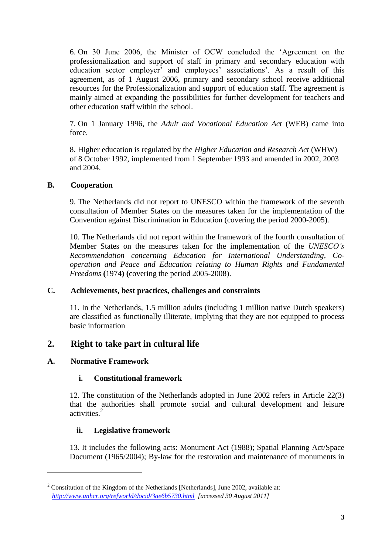6. On 30 June 2006, the Minister of OCW concluded the "Agreement on the professionalization and support of staff in primary and secondary education with education sector employer' and employees' associations'. As a result of this agreement, as of 1 August 2006, primary and secondary school receive additional resources for the Professionalization and support of education staff. The agreement is mainly aimed at expanding the possibilities for further development for teachers and other education staff within the school.

7. On 1 January 1996, the *Adult and Vocational Education Act* (WEB) came into force.

8. Higher education is regulated by the *Higher Education and Research Act* (WHW) of 8 October 1992, implemented from 1 September 1993 and amended in 2002, 2003 and 2004.

#### **B. Cooperation**

9. The Netherlands did not report to UNESCO within the framework of the seventh consultation of Member States on the measures taken for the implementation of the Convention against Discrimination in Education (covering the period 2000-2005).

10. The Netherlands did not report within the framework of the fourth consultation of Member States on the measures taken for the implementation of the *UNESCO's Recommendation concerning Education for International Understanding, Cooperation and Peace and Education relating to Human Rights and Fundamental Freedoms* **(**1974**) (**covering the period 2005-2008).

#### **C. Achievements, best practices, challenges and constraints**

11. In the Netherlands, 1.5 million adults (including 1 million native Dutch speakers) are classified as functionally illiterate, implying that they are not equipped to process basic information

### **2. Right to take part in cultural life**

#### **A. Normative Framework**

**.** 

#### **i. Constitutional framework**

12. The constitution of the Netherlands adopted in June 2002 refers in Article 22(3) that the authorities shall promote social and cultural development and leisure activities.<sup>2</sup>

#### **ii. Legislative framework**

13. It includes the following acts: Monument Act (1988); Spatial Planning Act/Space Document (1965/2004); By-law for the restoration and maintenance of monuments in

 $2^2$  Constitution of the Kingdom of the Netherlands [Netherlands], June 2002, available at: *<http://www.unhcr.org/refworld/docid/3ae6b5730.html> [accessed 30 August 2011]*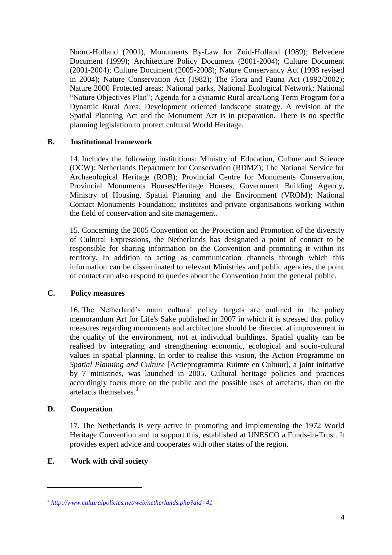Noord-Holland (2001), Monuments By-Law for Zuid-Holland (1989); Belvedere Document (1999); Architecture Policy Document (2001-2004); Culture Document (2001-2004); Culture Document (2005-2008); Nature Conservancy Act (1998 revised in 2004); Nature Conservation Act (1982); The Flora and Fauna Act (1992/2002); Nature 2000 Protected areas; National parks, National Ecological Network; National "Nature Objectives Plan"; Agenda for a dynamic Rural area/Long Term Program for a Dynamic Rural Area; Development oriented landscape strategy. A revision of the Spatial Planning Act and the Monument Act is in preparation. There is no specific planning legislation to protect cultural World Heritage.

#### **B. Institutional framework**

14. Includes the following institutions: Ministry of Education, Culture and Science (OCW): Netherlands Department for Conservation (RDMZ); The National Service for Archaeological Heritage (ROB); Provincial Centre for Monuments Conservation, Provincial Monuments Houses/Heritage Houses, Government Building Agency, Ministry of Housing, Spatial Planning and the Environment (VROM); National Contact Monuments Foundation; institutes and private organisations working within the field of conservation and site management.

15. Concerning the 2005 Convention on the Protection and Promotion of the diversity of Cultural Expressions, the Netherlands has designated a point of contact to be responsible for sharing information on the Convention and promoting it within its territory. In addition to acting as communication channels through which this information can be disseminated to relevant Ministries and public agencies, the point of contact can also respond to queries about the Convention from the general public.

#### **C. Policy measures**

16. The Netherland"s main cultural policy targets are outlined in the policy memorandum Art for Life's Sake published in 2007 in which it is stressed that policy measures regarding monuments and architecture should be directed at improvement in the quality of the environment, not at individual buildings. Spatial quality can be realised by integrating and strengthening economic, ecological and socio-cultural values in spatial planning. In order to realise this vision, the Action Programme on *Spatial Planning and Culture* [Actieprogramma Ruimte en Cultuur], a joint initiative by 7 ministries, was launched in 2005. Cultural heritage policies and practices accordingly focus more on the public and the possible uses of artefacts, than on the artefacts themselves.<sup>3</sup>

#### **D. Cooperation**

 $\overline{a}$ 

17. The Netherlands is very active in promoting and implementing the 1972 World Heritage Convention and to support this, established at UNESCO a Funds-in-Trust. It provides expert advice and cooperates with other states of the region.

#### **E. Work with civil society**

<sup>3</sup> *<http://www.culturalpolicies.net/web/netherlands.php?aid=41>*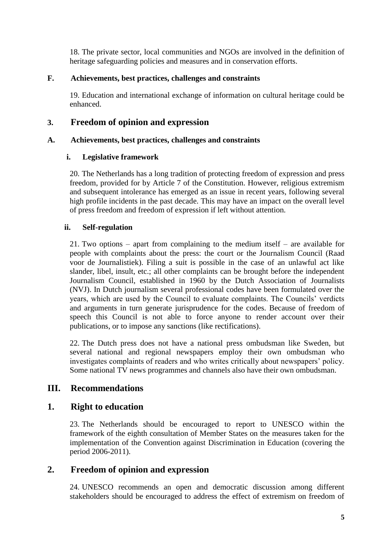18. The private sector, local communities and NGOs are involved in the definition of heritage safeguarding policies and measures and in conservation efforts.

#### **F. Achievements, best practices, challenges and constraints**

19. Education and international exchange of information on cultural heritage could be enhanced.

### **3. Freedom of opinion and expression**

#### **A. Achievements, best practices, challenges and constraints**

#### **i. Legislative framework**

20. The Netherlands has a long tradition of protecting freedom of expression and press freedom, provided for by Article 7 of the Constitution. However, religious extremism and subsequent intolerance has emerged as an issue in recent years, following several high profile incidents in the past decade. This may have an impact on the overall level of press freedom and freedom of expression if left without attention.

#### **ii. Self-regulation**

21. Two options – apart from complaining to the medium itself – are available for people with complaints about the press: the court or the Journalism Council (Raad voor de Journalistiek). Filing a suit is possible in the case of an unlawful act like slander, libel, insult, etc.; all other complaints can be brought before the independent Journalism Council, established in 1960 by the Dutch Association of Journalists (NVJ). In Dutch journalism several professional codes have been formulated over the years, which are used by the Council to evaluate complaints. The Councils" verdicts and arguments in turn generate jurisprudence for the codes. Because of freedom of speech this Council is not able to force anyone to render account over their publications, or to impose any sanctions (like rectifications).

22. The Dutch press does not have a national press ombudsman like Sweden, but several national and regional newspapers employ their own ombudsman who investigates complaints of readers and who writes critically about newspapers" policy. Some national TV news programmes and channels also have their own ombudsman.

### **III. Recommendations**

#### **1. Right to education**

23. The Netherlands should be encouraged to report to UNESCO within the framework of the eighth consultation of Member States on the measures taken for the implementation of the Convention against Discrimination in Education (covering the period 2006-2011).

### **2. Freedom of opinion and expression**

24. UNESCO recommends an open and democratic discussion among different stakeholders should be encouraged to address the effect of extremism on freedom of